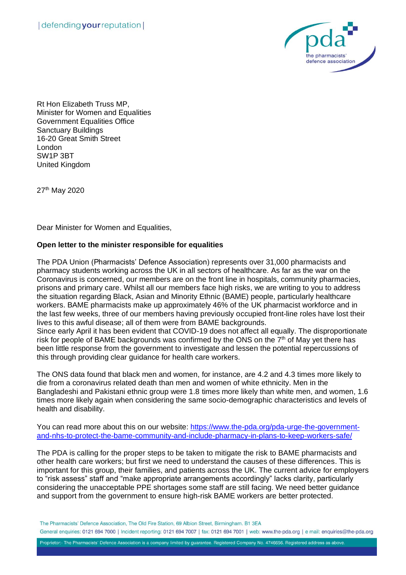

Rt Hon Elizabeth Truss MP, Minister for Women and Equalities Government Equalities Office Sanctuary Buildings 16-20 Great Smith Street London SW1P 3BT United Kingdom

27th May 2020

Dear Minister for Women and Equalities,

## **Open letter to the minister responsible for equalities**

The PDA Union (Pharmacists' Defence Association) represents over 31,000 pharmacists and pharmacy students working across the UK in all sectors of healthcare. As far as the war on the Coronavirus is concerned, our members are on the front line in hospitals, community pharmacies, prisons and primary care. Whilst all our members face high risks, we are writing to you to address the situation regarding Black, Asian and Minority Ethnic (BAME) people, particularly healthcare workers. BAME pharmacists make up approximately 46% of the UK pharmacist workforce and in the last few weeks, three of our members having previously occupied front-line roles have lost their lives to this awful disease; all of them were from BAME backgrounds.

Since early April it has been evident that COVID-19 does not affect all equally. The disproportionate risk for people of BAME backgrounds was confirmed by the ONS on the  $7<sup>th</sup>$  of May yet there has been little response from the government to investigate and lessen the potential repercussions of this through providing clear guidance for health care workers.

The ONS data found that black men and women, for instance, are 4.2 and 4.3 times more likely to die from a coronavirus related death than men and women of white ethnicity. Men in the Bangladeshi and Pakistani ethnic group were 1.8 times more likely than white men, and women, 1.6 times more likely again when considering the same socio-demographic characteristics and levels of health and disability.

You can read more about this on our website: [https://www.the-pda.org/pda-urge-the-government](https://www.the-pda.org/pda-urge-the-government-and-nhs-to-protect-the-bame-community-and-include-pharmacy-in-plans-to-keep-workers-safe/)[and-nhs-to-protect-the-bame-community-and-include-pharmacy-in-plans-to-keep-workers-safe/](https://www.the-pda.org/pda-urge-the-government-and-nhs-to-protect-the-bame-community-and-include-pharmacy-in-plans-to-keep-workers-safe/)

The PDA is calling for the proper steps to be taken to mitigate the risk to BAME pharmacists and other health care workers; but first we need to understand the causes of these differences. This is important for this group, their families, and patients across the UK. The current advice for employers to "risk assess" staff and "make appropriate arrangements accordingly" lacks clarity, particularly considering the unacceptable PPE shortages some staff are still facing. We need better guidance and support from the government to ensure high-risk BAME workers are better protected.

Proprietor:- The Pharmacists' Defence Association is a company limited by guarantee. Registered Company No. 4746656. Registered address as above.

The Pharmacists' Defence Association. The Old Fire Station, 69 Albion Street, Birmingham, B1 3EA General enquiries: 0121 694 7000 | Incident reporting: 0121 694 7007 | fax: 0121 694 7001 | web: www.the-pda.org | e mail: enquiries@the-pda.org